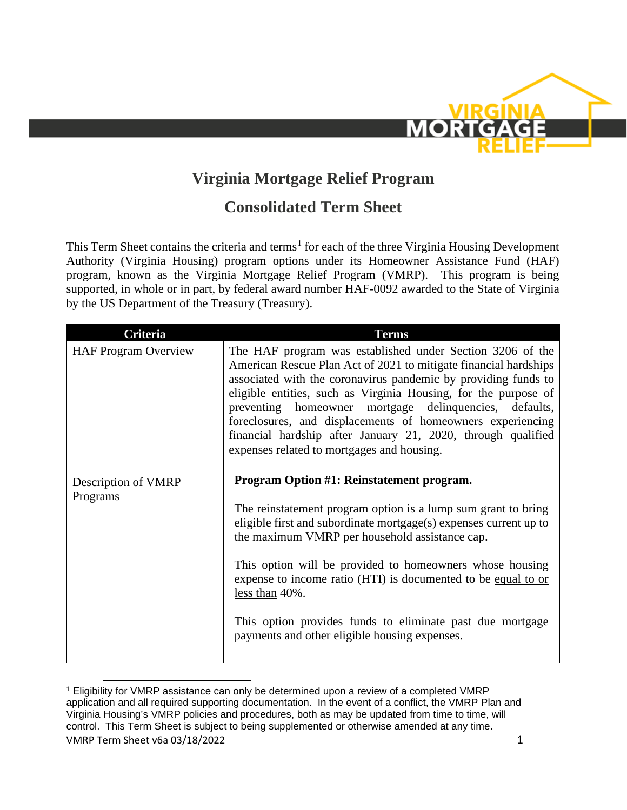

## **Virginia Mortgage Relief Program**

## **Consolidated Term Sheet**

This Term Sheet contains the criteria and terms<sup>[1](#page-0-0)</sup> for each of the three Virginia Housing Development Authority (Virginia Housing) program options under its Homeowner Assistance Fund (HAF) program, known as the Virginia Mortgage Relief Program (VMRP). This program is being supported, in whole or in part, by federal award number HAF-0092 awarded to the State of Virginia by the US Department of the Treasury (Treasury).

| <b>Criteria</b>             | <b>Terms</b>                                                                                                                                                                                                                                                                                                                                                                                                                                                                                             |
|-----------------------------|----------------------------------------------------------------------------------------------------------------------------------------------------------------------------------------------------------------------------------------------------------------------------------------------------------------------------------------------------------------------------------------------------------------------------------------------------------------------------------------------------------|
| <b>HAF Program Overview</b> | The HAF program was established under Section 3206 of the<br>American Rescue Plan Act of 2021 to mitigate financial hardships<br>associated with the coronavirus pandemic by providing funds to<br>eligible entities, such as Virginia Housing, for the purpose of<br>preventing homeowner mortgage delinquencies, defaults,<br>foreclosures, and displacements of homeowners experiencing<br>financial hardship after January 21, 2020, through qualified<br>expenses related to mortgages and housing. |
| Description of VMRP         | Program Option #1: Reinstatement program.                                                                                                                                                                                                                                                                                                                                                                                                                                                                |
| Programs                    |                                                                                                                                                                                                                                                                                                                                                                                                                                                                                                          |
|                             | The reinstatement program option is a lump sum grant to bring<br>eligible first and subordinate mortgage(s) expenses current up to                                                                                                                                                                                                                                                                                                                                                                       |
|                             | the maximum VMRP per household assistance cap.                                                                                                                                                                                                                                                                                                                                                                                                                                                           |
|                             | This option will be provided to homeowners whose housing<br>expense to income ratio (HTI) is documented to be equal to or<br>less than $40\%$ .                                                                                                                                                                                                                                                                                                                                                          |
|                             | This option provides funds to eliminate past due mortgage<br>payments and other eligible housing expenses.                                                                                                                                                                                                                                                                                                                                                                                               |

<span id="page-0-0"></span>VMRP Term Sheet v6a 03/18/2022 1 <sup>1</sup> Eligibility for VMRP assistance can only be determined upon a review of a completed VMRP application and all required supporting documentation. In the event of a conflict, the VMRP Plan and Virginia Housing's VMRP policies and procedures, both as may be updated from time to time, will control. This Term Sheet is subject to being supplemented or otherwise amended at any time.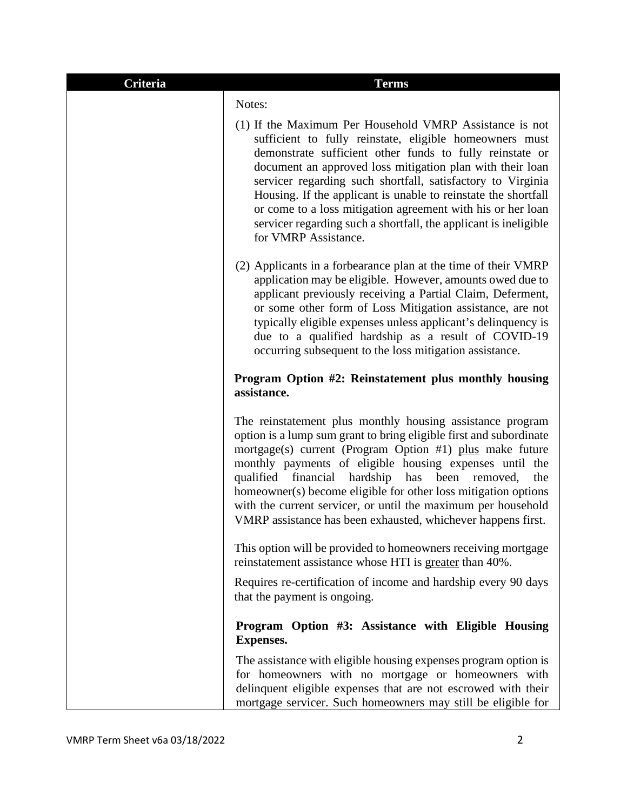| Criteria | <b>Terms</b>                                                                                                                                                                                                                                                                                                                                                                                                                                                                                                                            |
|----------|-----------------------------------------------------------------------------------------------------------------------------------------------------------------------------------------------------------------------------------------------------------------------------------------------------------------------------------------------------------------------------------------------------------------------------------------------------------------------------------------------------------------------------------------|
|          | Notes:                                                                                                                                                                                                                                                                                                                                                                                                                                                                                                                                  |
|          | (1) If the Maximum Per Household VMRP Assistance is not<br>sufficient to fully reinstate, eligible homeowners must<br>demonstrate sufficient other funds to fully reinstate or<br>document an approved loss mitigation plan with their loan<br>servicer regarding such shortfall, satisfactory to Virginia<br>Housing. If the applicant is unable to reinstate the shortfall<br>or come to a loss mitigation agreement with his or her loan<br>servicer regarding such a shortfall, the applicant is ineligible<br>for VMRP Assistance. |
|          | (2) Applicants in a forbearance plan at the time of their VMRP<br>application may be eligible. However, amounts owed due to<br>applicant previously receiving a Partial Claim, Deferment,<br>or some other form of Loss Mitigation assistance, are not<br>typically eligible expenses unless applicant's delinquency is<br>due to a qualified hardship as a result of COVID-19<br>occurring subsequent to the loss mitigation assistance.                                                                                               |
|          | Program Option #2: Reinstatement plus monthly housing<br>assistance.                                                                                                                                                                                                                                                                                                                                                                                                                                                                    |
|          | The reinstatement plus monthly housing assistance program<br>option is a lump sum grant to bring eligible first and subordinate<br>mortgage(s) current (Program Option #1) plus make future<br>monthly payments of eligible housing expenses until the<br>qualified<br>hardship has<br>financial<br>been<br>the<br>removed,<br>homeowner(s) become eligible for other loss mitigation options<br>with the current servicer, or until the maximum per household<br>VMRP assistance has been exhausted, whichever happens first.          |
|          | This option will be provided to homeowners receiving mortgage<br>reinstatement assistance whose HTI is greater than 40%.                                                                                                                                                                                                                                                                                                                                                                                                                |
|          | Requires re-certification of income and hardship every 90 days<br>that the payment is ongoing.                                                                                                                                                                                                                                                                                                                                                                                                                                          |
|          | Program Option #3: Assistance with Eligible Housing<br><b>Expenses.</b>                                                                                                                                                                                                                                                                                                                                                                                                                                                                 |
|          | The assistance with eligible housing expenses program option is<br>for homeowners with no mortgage or homeowners with<br>delinquent eligible expenses that are not escrowed with their<br>mortgage servicer. Such homeowners may still be eligible for                                                                                                                                                                                                                                                                                  |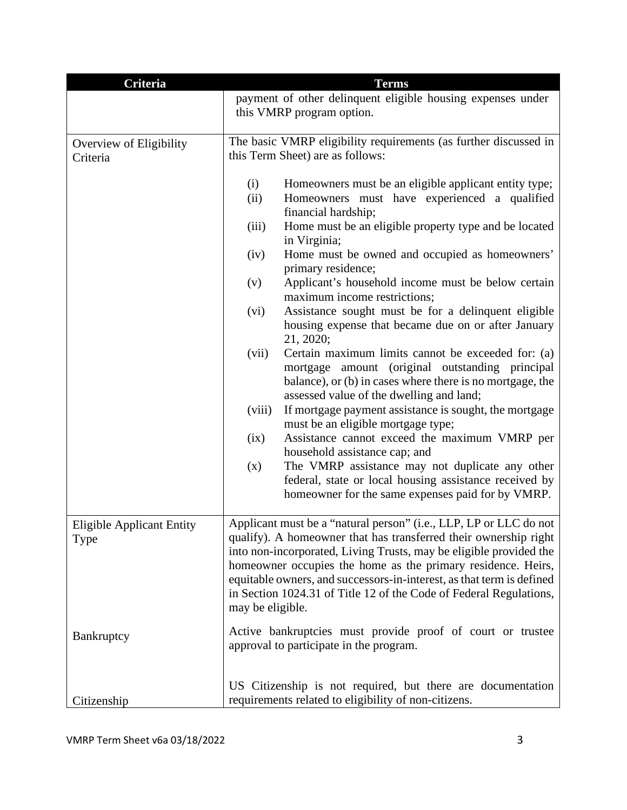| Criteria                                 | <b>Terms</b>                                                                                                                                                                                                                                                                                                                                                                                                                                   |
|------------------------------------------|------------------------------------------------------------------------------------------------------------------------------------------------------------------------------------------------------------------------------------------------------------------------------------------------------------------------------------------------------------------------------------------------------------------------------------------------|
|                                          | payment of other delinquent eligible housing expenses under                                                                                                                                                                                                                                                                                                                                                                                    |
|                                          | this VMRP program option.                                                                                                                                                                                                                                                                                                                                                                                                                      |
| Overview of Eligibility<br>Criteria      | The basic VMRP eligibility requirements (as further discussed in<br>this Term Sheet) are as follows:                                                                                                                                                                                                                                                                                                                                           |
|                                          |                                                                                                                                                                                                                                                                                                                                                                                                                                                |
|                                          | Homeowners must be an eligible applicant entity type;<br>(i)<br>(ii)<br>Homeowners must have experienced a qualified<br>financial hardship;                                                                                                                                                                                                                                                                                                    |
|                                          | Home must be an eligible property type and be located<br>(iii)<br>in Virginia;                                                                                                                                                                                                                                                                                                                                                                 |
|                                          | Home must be owned and occupied as homeowners'<br>(iv)<br>primary residence;                                                                                                                                                                                                                                                                                                                                                                   |
|                                          | Applicant's household income must be below certain<br>(v)<br>maximum income restrictions;                                                                                                                                                                                                                                                                                                                                                      |
|                                          | Assistance sought must be for a delinquent eligible<br>(vi)<br>housing expense that became due on or after January<br>21, 2020;                                                                                                                                                                                                                                                                                                                |
|                                          | (vii)<br>Certain maximum limits cannot be exceeded for: (a)<br>mortgage amount (original outstanding principal<br>balance), or (b) in cases where there is no mortgage, the<br>assessed value of the dwelling and land;                                                                                                                                                                                                                        |
|                                          | If mortgage payment assistance is sought, the mortgage<br>(viii)<br>must be an eligible mortgage type;                                                                                                                                                                                                                                                                                                                                         |
|                                          | Assistance cannot exceed the maximum VMRP per<br>(ix)<br>household assistance cap; and                                                                                                                                                                                                                                                                                                                                                         |
|                                          | The VMRP assistance may not duplicate any other<br>(x)<br>federal, state or local housing assistance received by                                                                                                                                                                                                                                                                                                                               |
|                                          | homeowner for the same expenses paid for by VMRP.                                                                                                                                                                                                                                                                                                                                                                                              |
| <b>Eligible Applicant Entity</b><br>Type | Applicant must be a "natural person" (i.e., LLP, LP or LLC do not<br>qualify). A homeowner that has transferred their ownership right<br>into non-incorporated, Living Trusts, may be eligible provided the<br>homeowner occupies the home as the primary residence. Heirs,<br>equitable owners, and successors-in-interest, as that term is defined<br>in Section 1024.31 of Title 12 of the Code of Federal Regulations,<br>may be eligible. |
| Bankruptcy                               | Active bankruptcies must provide proof of court or trustee<br>approval to participate in the program.                                                                                                                                                                                                                                                                                                                                          |
| Citizenship                              | US Citizenship is not required, but there are documentation<br>requirements related to eligibility of non-citizens.                                                                                                                                                                                                                                                                                                                            |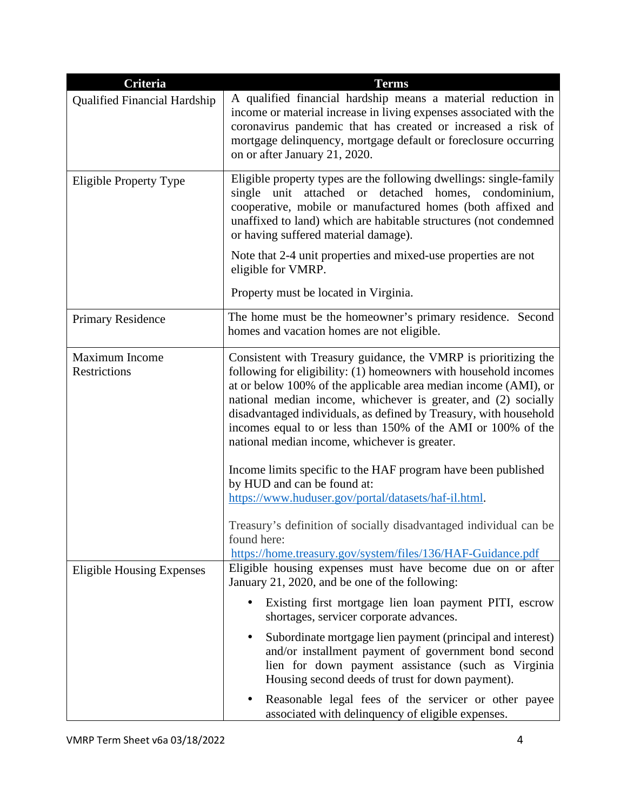| <b>Criteria</b>                       | <b>Terms</b>                                                                                                                                                                                                                                                                                                                                                                                                                                                   |
|---------------------------------------|----------------------------------------------------------------------------------------------------------------------------------------------------------------------------------------------------------------------------------------------------------------------------------------------------------------------------------------------------------------------------------------------------------------------------------------------------------------|
| <b>Qualified Financial Hardship</b>   | A qualified financial hardship means a material reduction in<br>income or material increase in living expenses associated with the<br>coronavirus pandemic that has created or increased a risk of<br>mortgage delinquency, mortgage default or foreclosure occurring<br>on or after January 21, 2020.                                                                                                                                                         |
| Eligible Property Type                | Eligible property types are the following dwellings: single-family<br>attached or detached homes, condominium,<br>unit<br>single<br>cooperative, mobile or manufactured homes (both affixed and<br>unaffixed to land) which are habitable structures (not condemned<br>or having suffered material damage).                                                                                                                                                    |
|                                       | Note that 2-4 unit properties and mixed-use properties are not<br>eligible for VMRP.                                                                                                                                                                                                                                                                                                                                                                           |
|                                       | Property must be located in Virginia.                                                                                                                                                                                                                                                                                                                                                                                                                          |
| <b>Primary Residence</b>              | The home must be the homeowner's primary residence. Second<br>homes and vacation homes are not eligible.                                                                                                                                                                                                                                                                                                                                                       |
| <b>Maximum Income</b><br>Restrictions | Consistent with Treasury guidance, the VMRP is prioritizing the<br>following for eligibility: (1) homeowners with household incomes<br>at or below 100% of the applicable area median income (AMI), or<br>national median income, whichever is greater, and (2) socially<br>disadvantaged individuals, as defined by Treasury, with household<br>incomes equal to or less than 150% of the AMI or 100% of the<br>national median income, whichever is greater. |
|                                       | Income limits specific to the HAF program have been published<br>by HUD and can be found at:<br>https://www.huduser.gov/portal/datasets/haf-il.html.                                                                                                                                                                                                                                                                                                           |
|                                       | Treasury's definition of socially disadvantaged individual can be<br>found here:<br>https://home.treasury.gov/system/files/136/HAF-Guidance.pdf                                                                                                                                                                                                                                                                                                                |
| <b>Eligible Housing Expenses</b>      | Eligible housing expenses must have become due on or after<br>January 21, 2020, and be one of the following:                                                                                                                                                                                                                                                                                                                                                   |
|                                       | Existing first mortgage lien loan payment PITI, escrow<br>shortages, servicer corporate advances.                                                                                                                                                                                                                                                                                                                                                              |
|                                       | Subordinate mortgage lien payment (principal and interest)<br>and/or installment payment of government bond second<br>lien for down payment assistance (such as Virginia<br>Housing second deeds of trust for down payment).                                                                                                                                                                                                                                   |
|                                       | Reasonable legal fees of the servicer or other payee<br>associated with delinquency of eligible expenses.                                                                                                                                                                                                                                                                                                                                                      |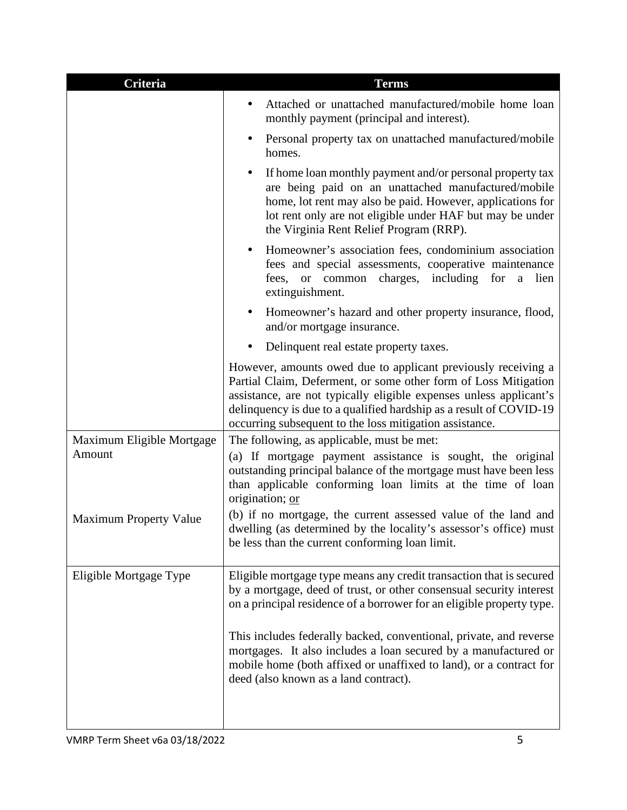| <b>Criteria</b>               | <b>Terms</b>                                                                                                                                                                                                                                                                                                                            |
|-------------------------------|-----------------------------------------------------------------------------------------------------------------------------------------------------------------------------------------------------------------------------------------------------------------------------------------------------------------------------------------|
|                               | Attached or unattached manufactured/mobile home loan<br>monthly payment (principal and interest).                                                                                                                                                                                                                                       |
|                               | Personal property tax on unattached manufactured/mobile<br>homes.                                                                                                                                                                                                                                                                       |
|                               | If home loan monthly payment and/or personal property tax<br>are being paid on an unattached manufactured/mobile<br>home, lot rent may also be paid. However, applications for<br>lot rent only are not eligible under HAF but may be under<br>the Virginia Rent Relief Program (RRP).                                                  |
|                               | Homeowner's association fees, condominium association<br>fees and special assessments, cooperative maintenance<br>fees, or common charges, including<br>for<br>lien<br>a<br>extinguishment.                                                                                                                                             |
|                               | Homeowner's hazard and other property insurance, flood,<br>and/or mortgage insurance.                                                                                                                                                                                                                                                   |
|                               | Delinquent real estate property taxes.                                                                                                                                                                                                                                                                                                  |
|                               | However, amounts owed due to applicant previously receiving a<br>Partial Claim, Deferment, or some other form of Loss Mitigation<br>assistance, are not typically eligible expenses unless applicant's<br>delinquency is due to a qualified hardship as a result of COVID-19<br>occurring subsequent to the loss mitigation assistance. |
| Maximum Eligible Mortgage     | The following, as applicable, must be met:                                                                                                                                                                                                                                                                                              |
| Amount                        | (a) If mortgage payment assistance is sought, the original<br>outstanding principal balance of the mortgage must have been less<br>than applicable conforming loan limits at the time of loan<br>origination; or                                                                                                                        |
| <b>Maximum Property Value</b> | (b) if no mortgage, the current assessed value of the land and<br>dwelling (as determined by the locality's assessor's office) must<br>be less than the current conforming loan limit.                                                                                                                                                  |
| Eligible Mortgage Type        | Eligible mortgage type means any credit transaction that is secured<br>by a mortgage, deed of trust, or other consensual security interest<br>on a principal residence of a borrower for an eligible property type.                                                                                                                     |
|                               | This includes federally backed, conventional, private, and reverse<br>mortgages. It also includes a loan secured by a manufactured or<br>mobile home (both affixed or unaffixed to land), or a contract for<br>deed (also known as a land contract).                                                                                    |
|                               |                                                                                                                                                                                                                                                                                                                                         |